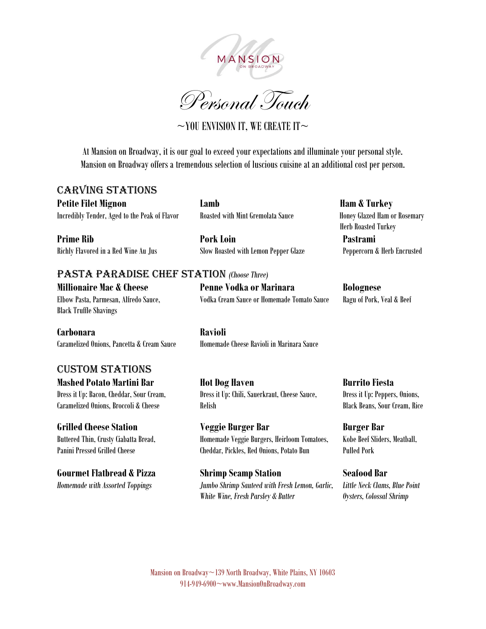



 $\sim$ YOU ENVISION IT, WE CREATE IT $\sim$ 

At Mansion on Broadway, it is our goal to exceed your expectations and illuminate your personal style. Mansion on Broadway offers a tremendous selection of luscious cuisine at an additional cost per person.

## Carving Stations

**Petite Filet Mignon Lamb Lamb Ham & Turkey** Incredibly Tender, Aged to the Peak of Flavor Roasted with Mint Gremolata Sauce Honey Glazed Ham or Rosemary

Richly Flavored in a Red Wine Au Jus Slow Roasted with Lemon Pepper Glaze Peppercorn & Herb Encrusted

**Prime Rib Pork Loin Pastrami**

Herb Roasted Turkey

## Pasta Paradise Chef Station *(Choose Three)*  **Millionaire Mac & Cheese Penne Vodka or Marinara Bolognese**

Black Truffle Shavings

**Carbonara Ravioli** Caramelized Onions, Pancetta & Cream Sauce Homemade Cheese Ravioli in Marinara Sauce

## Custom Stations

Elbow Pasta, Parmesan, Alfredo Sauce, Vodka Cream Sauce or Homemade Tomato Sauce Ragu of Pork, Veal & Beef

**Mashed Potato Martini Bar Hot Dog Haven Burrito Fiesta** Dress it Up: Bacon, Cheddar, Sour Cream, Dress it Up: Chili, Sauerkraut, Cheese Sauce, Dress it Up: Peppers, Onions, Caramelized Onions, Broccoli & Cheese Relish Black Beans, Sour Cream, Rice

**Grilled Cheese Station Station Station Station Station Station Station Station Station Station Station Station** Buttered Thin, Crusty Ciabatta Bread, Homemade Veggie Burgers, Heirloom Tomatoes, Kobe Beef Sliders, Meatball, Panini Pressed Grilled Cheese Cheddar, Pickles, Red Onions, Potato Bun Pulled Pork

**Gourmet Flatbread & Pizza Shrimp Scamp Station Seafood Bar**  *Homemade with Assorted Toppings Jumbo Shrimp Sauteed with Fresh Lemon, Garlic, Little Neck Clams, Blue Point White Wine, Fresh Parsley & Butter Oysters, Colossal Shrimp*

Mansion on Broadway~139 North Broadway, White Plains, NY 10603 914-949-6900~www.MansionOnBroadway.com